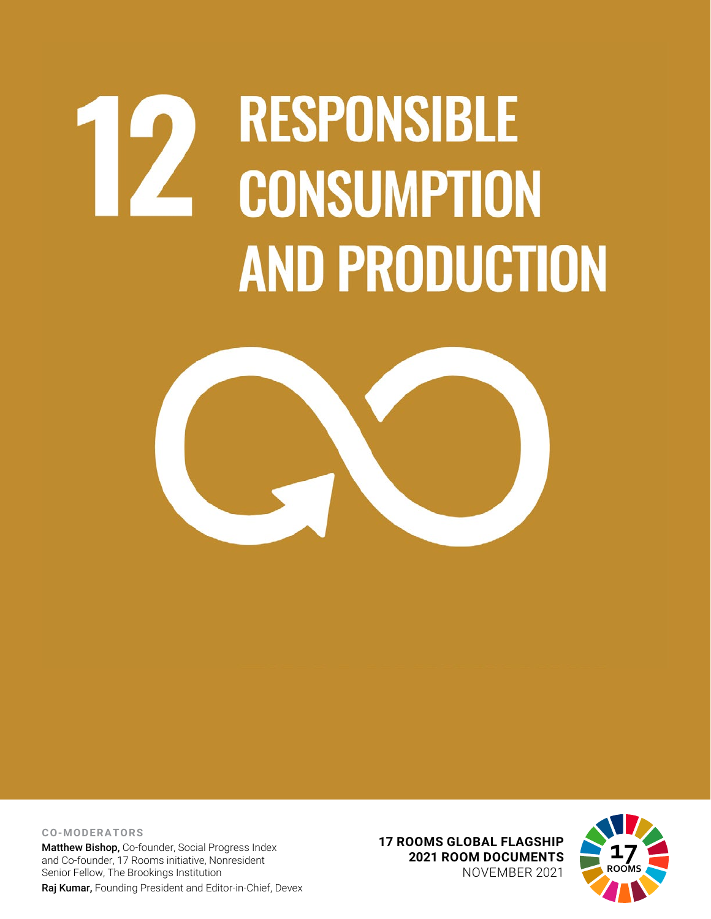# **RESPONSIBLE**  $\mathbf{Z}$ **CONSUMPTION AND PRODUCTION**



**CO-MODERATORS** Matthew Bishop, Co-founder, Social Progress Index and Co-founder, 17 Rooms initiative, Nonresident Senior Fellow, The Brookings Institution Raj Kumar, Founding President and Editor-in-Chief, Devex

**17 ROOMS GLOBAL FLAGSHIP 2021 ROOM DOCUMENTS** NOVEMBER 2021

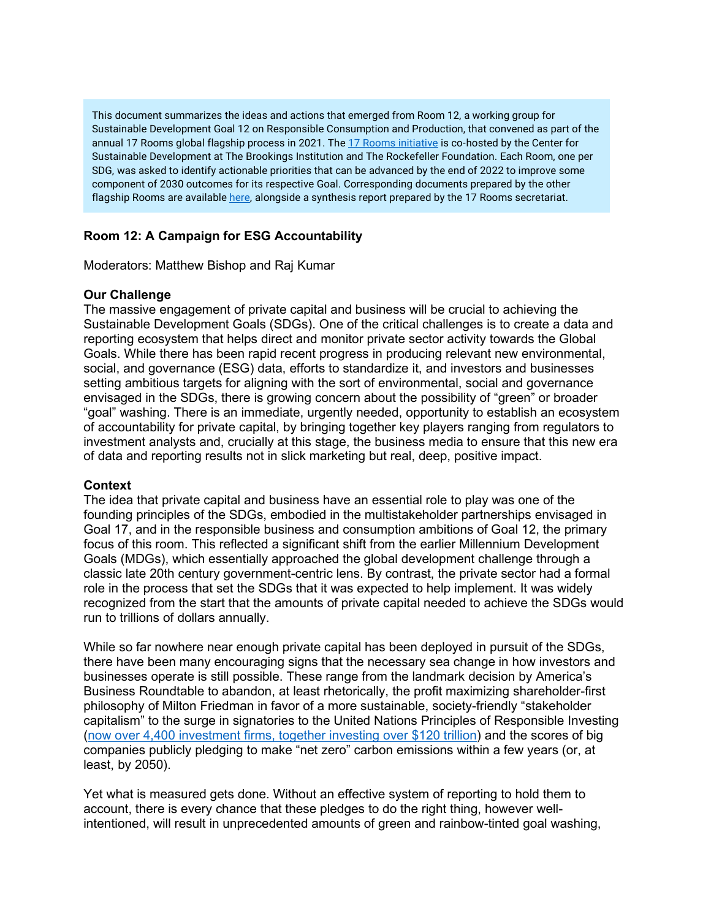This document summarizes the ideas and actions that emerged from Room 12, a working group for Sustainable Development Goal 12 on Responsible Consumption and Production, that convened as part of the annual 17 Rooms global flagship process in 2021. The [17 Rooms initiative](https://www.brookings.edu/project/17-rooms/) is co-hosted by the Center for Sustainable Development at The Brookings Institution and The Rockefeller Foundation. Each Room, one per SDG, was asked to identify actionable priorities that can be advanced by the end of 2022 to improve some component of 2030 outcomes for its respective Goal. Corresponding documents prepared by the other flagship Rooms are availabl[e here,](http://www.brookings.edu/17rooms2021) alongside a synthesis report prepared by the 17 Rooms secretariat.

## **Room 12: A Campaign for ESG Accountability**

Moderators: Matthew Bishop and Raj Kumar

## **Our Challenge**

The massive engagement of private capital and business will be crucial to achieving the Sustainable Development Goals (SDGs). One of the critical challenges is to create a data and reporting ecosystem that helps direct and monitor private sector activity towards the Global Goals. While there has been rapid recent progress in producing relevant new environmental, social, and governance (ESG) data, efforts to standardize it, and investors and businesses setting ambitious targets for aligning with the sort of environmental, social and governance envisaged in the SDGs, there is growing concern about the possibility of "green" or broader "goal" washing. There is an immediate, urgently needed, opportunity to establish an ecosystem of accountability for private capital, by bringing together key players ranging from regulators to investment analysts and, crucially at this stage, the business media to ensure that this new era of data and reporting results not in slick marketing but real, deep, positive impact.

## **Context**

The idea that private capital and business have an essential role to play was one of the founding principles of the SDGs, embodied in the multistakeholder partnerships envisaged in Goal 17, and in the responsible business and consumption ambitions of Goal 12, the primary focus of this room. This reflected a significant shift from the earlier Millennium Development Goals (MDGs), which essentially approached the global development challenge through a classic late 20th century government-centric lens. By contrast, the private sector had a formal role in the process that set the SDGs that it was expected to help implement. It was widely recognized from the start that the amounts of private capital needed to achieve the SDGs would run to trillions of dollars annually.

While so far nowhere near enough private capital has been deployed in pursuit of the SDGs, there have been many encouraging signs that the necessary sea change in how investors and businesses operate is still possible. These range from the landmark decision by America's Business Roundtable to abandon, at least rhetorically, the profit maximizing shareholder-first philosophy of Milton Friedman in favor of a more sustainable, society-friendly "stakeholder capitalism" to the surge in signatories to the United Nations Principles of Responsible Investing [\(now over 4,400 investment firms, together investing over](https://www.unpri.org/pri/about-the-pri) \$120 trillion) and the scores of big companies publicly pledging to make "net zero" carbon emissions within a few years (or, at least, by 2050).

Yet what is measured gets done. Without an effective system of reporting to hold them to account, there is every chance that these pledges to do the right thing, however wellintentioned, will result in unprecedented amounts of green and rainbow-tinted goal washing,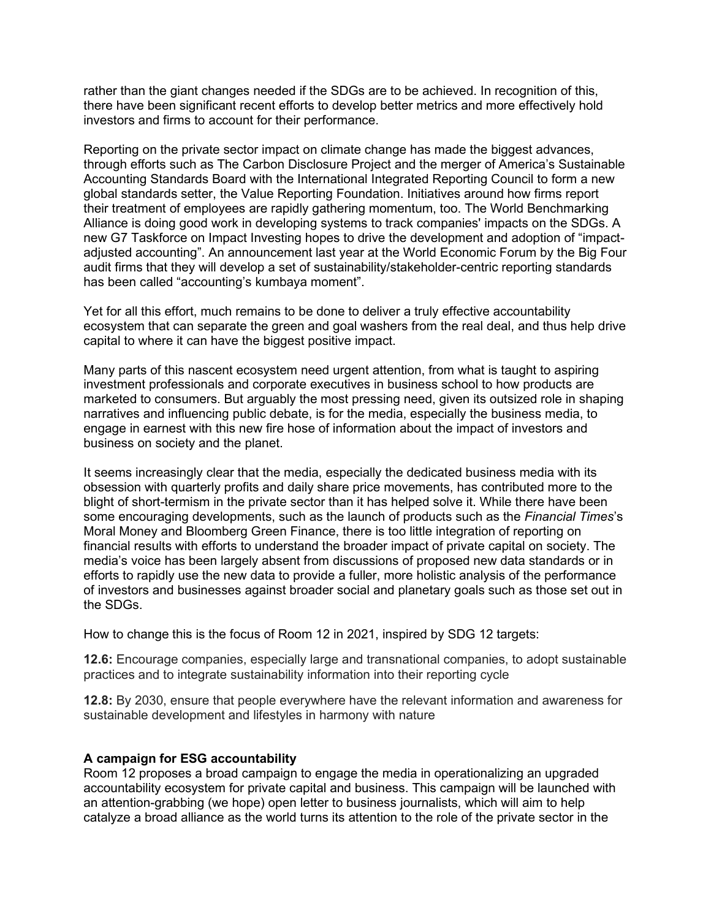rather than the giant changes needed if the SDGs are to be achieved. In recognition of this, there have been significant recent efforts to develop better metrics and more effectively hold investors and firms to account for their performance.

Reporting on the private sector impact on climate change has made the biggest advances, through efforts such as The Carbon Disclosure Project and the merger of America's Sustainable Accounting Standards Board with the International Integrated Reporting Council to form a new global standards setter, the Value Reporting Foundation. Initiatives around how firms report their treatment of employees are rapidly gathering momentum, too. The World Benchmarking Alliance is doing good work in developing systems to track companies' impacts on the SDGs. A new G7 Taskforce on Impact Investing hopes to drive the development and adoption of "impactadjusted accounting". An announcement last year at the World Economic Forum by the Big Four audit firms that they will develop a set of sustainability/stakeholder-centric reporting standards has been called "accounting's kumbaya moment".

Yet for all this effort, much remains to be done to deliver a truly effective accountability ecosystem that can separate the green and goal washers from the real deal, and thus help drive capital to where it can have the biggest positive impact.

Many parts of this nascent ecosystem need urgent attention, from what is taught to aspiring investment professionals and corporate executives in business school to how products are marketed to consumers. But arguably the most pressing need, given its outsized role in shaping narratives and influencing public debate, is for the media, especially the business media, to engage in earnest with this new fire hose of information about the impact of investors and business on society and the planet.

It seems increasingly clear that the media, especially the dedicated business media with its obsession with quarterly profits and daily share price movements, has contributed more to the blight of short-termism in the private sector than it has helped solve it. While there have been some encouraging developments, such as the launch of products such as the *Financial Times*'s Moral Money and Bloomberg Green Finance, there is too little integration of reporting on financial results with efforts to understand the broader impact of private capital on society. The media's voice has been largely absent from discussions of proposed new data standards or in efforts to rapidly use the new data to provide a fuller, more holistic analysis of the performance of investors and businesses against broader social and planetary goals such as those set out in the SDGs.

How to change this is the focus of Room 12 in 2021, inspired by SDG 12 targets:

**12.6:** Encourage companies, especially large and transnational companies, to adopt sustainable practices and to integrate sustainability information into their reporting cycle

**12.8:** By 2030, ensure that people everywhere have the relevant information and awareness for sustainable development and lifestyles in harmony with nature

## **A campaign for ESG accountability**

Room 12 proposes a broad campaign to engage the media in operationalizing an upgraded accountability ecosystem for private capital and business. This campaign will be launched with an attention-grabbing (we hope) open letter to business journalists, which will aim to help catalyze a broad alliance as the world turns its attention to the role of the private sector in the